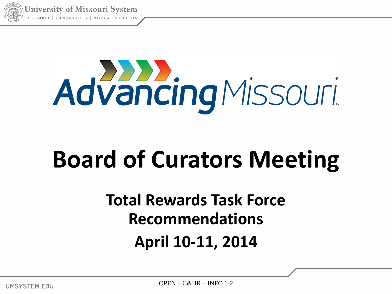

**University of Missouri System** UMBIA | KANSAS CITY | ROLLA | ST.L

# AdvancingMissouri

## **Board of Curators Meeting**

### **Total Rewards Task Force Recommendations April 10-11, 2014**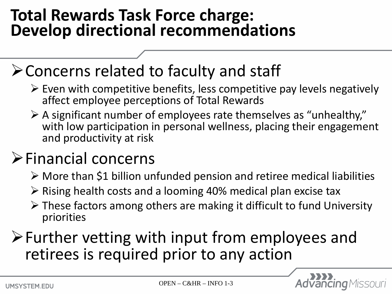### **Total Rewards Task Force charge: Develop directional recommendations**

### Concerns related to faculty and staff

- $\triangleright$  Even with competitive benefits, less competitive pay levels negatively affect employee perceptions of Total Rewards
- $\triangleright$  A significant number of employees rate themselves as "unhealthy," with low participation in personal wellness, placing their engagement and productivity at risk

### Financial concerns

- More than \$1 billion unfunded pension and retiree medical liabilities
- $\triangleright$  Rising health costs and a looming 40% medical plan excise tax
- $\triangleright$  These factors among others are making it difficult to fund University priorities

Further vetting with input from employees and retirees is required prior to any action

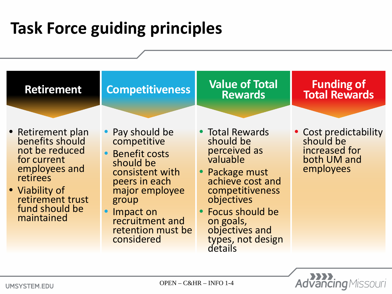### **Task Force guiding principles**



**UMSYSTEM.EDU** 

**Advancing** Missouri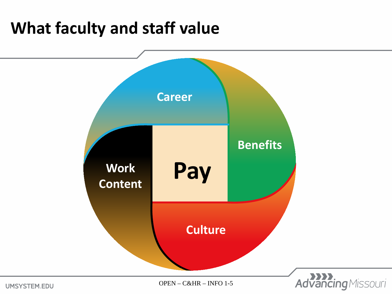### **What faculty and staff value**



UMSYSTEM.EDU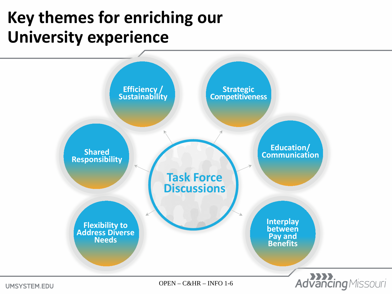### **Key themes for enriching our University experience**



**UMSYSTEM.EDU**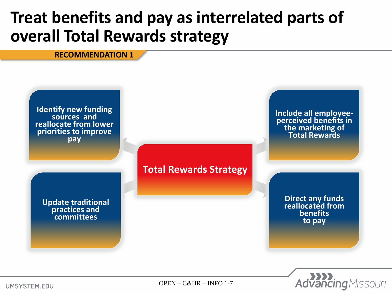### **Treat benefits and pay as interrelated parts of overall Total Rewards strategy**

#### **RECOMMENDATION 1**

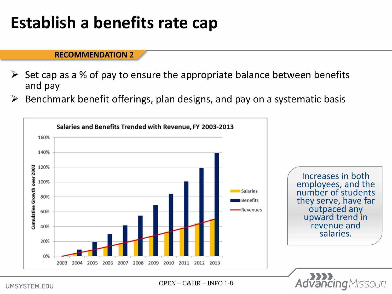### **Establish a benefits rate cap**

#### **RECOMMENDATION 2**

- Set cap as a % of pay to ensure the appropriate balance between benefits and pay
- $\triangleright$  Benchmark benefit offerings, plan designs, and pay on a systematic basis



**UMSYSTEM.EDU**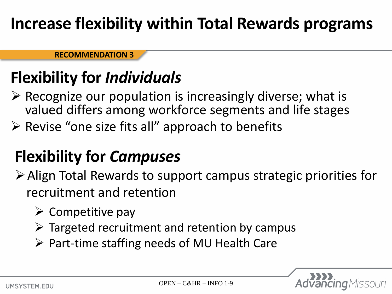### **Increase flexibility within Total Rewards programs**

**RECOMMENDATION 3**

### **Flexibility for** *Individuals*

- $\triangleright$  Recognize our population is increasingly diverse; what is valued differs among workforce segments and life stages
- $\triangleright$  Revise "one size fits all" approach to benefits

### **Flexibility for** *Campuses*

- Align Total Rewards to support campus strategic priorities for recruitment and retention
	- $\triangleright$  Competitive pay
	- $\triangleright$  Targeted recruitment and retention by campus
	- $\triangleright$  Part-time staffing needs of MU Health Care

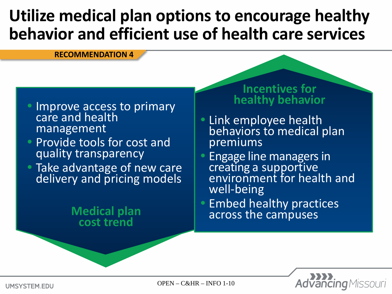### **Utilize medical plan options to encourage healthy behavior and efficient use of health care services**

#### **RECOMMENDATION 4**

- Improve access to primary care and health management
- Provide tools for cost and quality transparency
- Take advantage of new care delivery and pricing models

### **Medical plan cost trend**

#### **Incentives for healthy behavior**

- **Link employee health** behaviors to medical plan premiums
- Engage line managers in creating a supportive environment for health and well-being
- Embed healthy practices across the campuses



OPEN – C&HR – INFO 1-10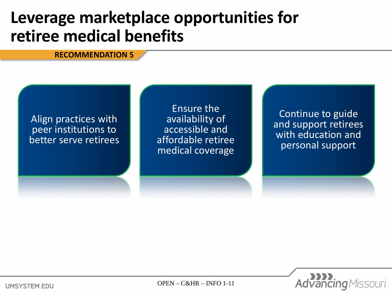### **Leverage marketplace opportunities for retiree medical benefits**

#### **RECOMMENDATION 5**

#### Align practices with peer institutions to better serve retirees

Ensure the availability of accessible and affordable retiree medical coverage

Continue to guide and support retirees with education and personal support



OPEN – C&HR – INFO 1-11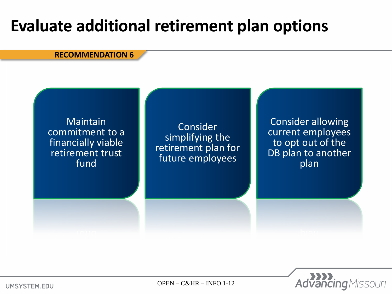### **Evaluate additional retirement plan options**

#### **RECOMMENDATION 6**





OPEN – C&HR – INFO 1-12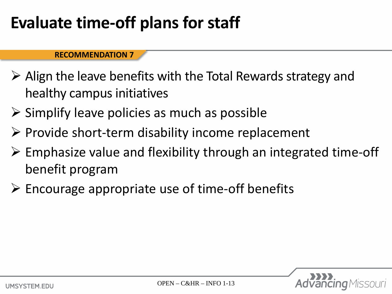### **Evaluate time-off plans for staff**

#### **RECOMMENDATION 7**

- $\triangleright$  Align the leave benefits with the Total Rewards strategy and healthy campus initiatives
- $\triangleright$  Simplify leave policies as much as possible
- $\triangleright$  Provide short-term disability income replacement
- $\triangleright$  Emphasize value and flexibility through an integrated time-off benefit program
- $\triangleright$  Encourage appropriate use of time-off benefits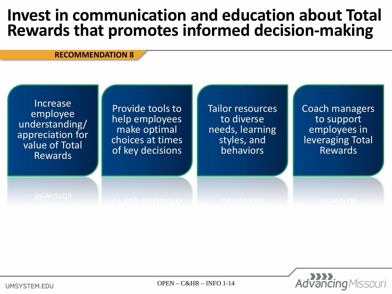### **Invest in communication and education about Total Rewards that promotes informed decision-making**

#### **RECOMMENDATION 8**



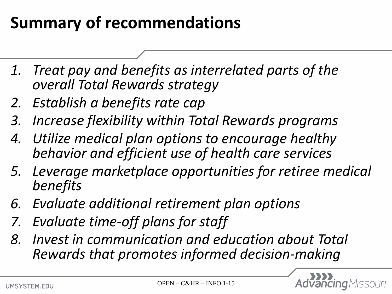### **Summary of recommendations**

- *1. Treat pay and benefits as interrelated parts of the overall Total Rewards strategy*
- *2. Establish a benefits rate cap*
- *3. Increase flexibility within Total Rewards programs*
- *4. Utilize medical plan options to encourage healthy behavior and efficient use of health care services*
- *5. Leverage marketplace opportunities for retiree medical benefits*
- *6. Evaluate additional retirement plan options*
- *7. Evaluate time-off plans for staff*
- *8. Invest in communication and education about Total Rewards that promotes informed decision-making*